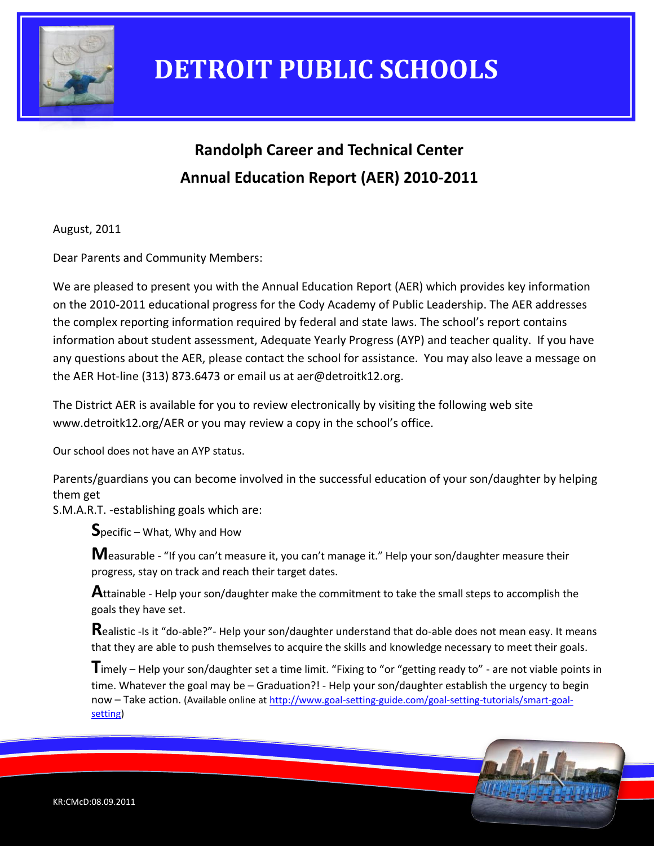

# **Randolph Career and Technical Center Annual Education Report (AER) 2010-2011**

August, 2011

Dear Parents and Community Members:

We are pleased to present you with the Annual Education Report (AER) which provides key information on the 2010-2011 educational progress for the Cody Academy of Public Leadership. The AER addresses the complex reporting information required by federal and state laws. The school's report contains information about student assessment, Adequate Yearly Progress (AYP) and teacher quality. If you have any questions about the AER, please contact the school for assistance. You may also leave a message on the AER Hot-line (313) 873.6473 or email us at aer@detroitk12.org.

The District AER is available for you to review electronically by visiting the following web site www.detroitk12.org/AER or you may review a copy in the school's office.

Our school does not have an AYP status.

Parents/guardians you can become involved in the successful education of your son/daughter by helping them get

S.M.A.R.T. -establishing goals which are:

**S**pecific – What, Why and How

**M**easurable - "If you can't measure it, you can't manage it." Help your son/daughter measure their progress, stay on track and reach their target dates.

**A**ttainable - Help your son/daughter make the commitment to take the small steps to accomplish the goals they have set.

**R**ealistic -Is it "do-able?"- Help your son/daughter understand that do-able does not mean easy. It means that they are able to push themselves to acquire the skills and knowledge necessary to meet their goals.

**T**imely – Help your son/daughter set a time limit. "Fixing to "or "getting ready to" - are not viable points in time. Whatever the goal may be – Graduation?! - Help your son/daughter establish the urgency to begin now – Take action. (Available online a[t http://www.goal-setting-guide.com/goal-setting-tutorials/smart-goal](http://www.goal-setting-guide.com/goal-setting-tutorials/smart-goal-setting)[setting\)](http://www.goal-setting-guide.com/goal-setting-tutorials/smart-goal-setting)

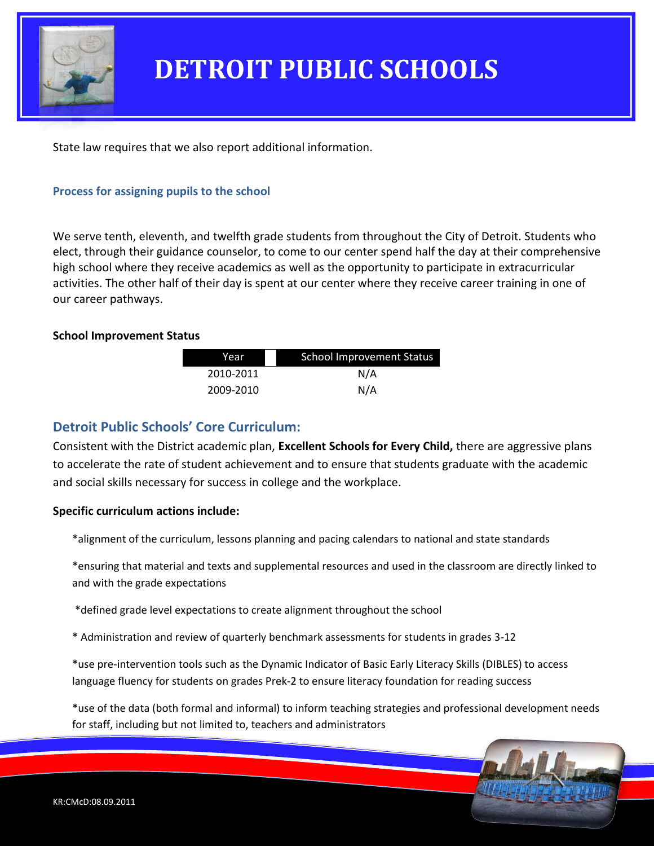

State law requires that we also report additional information.

#### **Process for assigning pupils to the school**

We serve tenth, eleventh, and twelfth grade students from throughout the City of Detroit. Students who elect, through their guidance counselor, to come to our center spend half the day at their comprehensive high school where they receive academics as well as the opportunity to participate in extracurricular activities. The other half of their day is spent at our center where they receive career training in one of our career pathways.

#### **School Improvement Status**

| Year      | School Improvement Status |  |
|-----------|---------------------------|--|
| 2010-2011 | N/A                       |  |
| 2009-2010 | N/A                       |  |

### **Detroit Public Schools' Core Curriculum:**

Consistent with the District academic plan, **Excellent Schools for Every Child,** there are aggressive plans to accelerate the rate of student achievement and to ensure that students graduate with the academic and social skills necessary for success in college and the workplace.

#### **Specific curriculum actions include:**

\*alignment of the curriculum, lessons planning and pacing calendars to national and state standards

\*ensuring that material and texts and supplemental resources and used in the classroom are directly linked to and with the grade expectations

\*defined grade level expectations to create alignment throughout the school

\* Administration and review of quarterly benchmark assessments for students in grades 3-12

\*use pre-intervention tools such as the Dynamic Indicator of Basic Early Literacy Skills (DIBLES) to access language fluency for students on grades Prek-2 to ensure literacy foundation for reading success

\*use of the data (both formal and informal) to inform teaching strategies and professional development needs for staff, including but not limited to, teachers and administrators

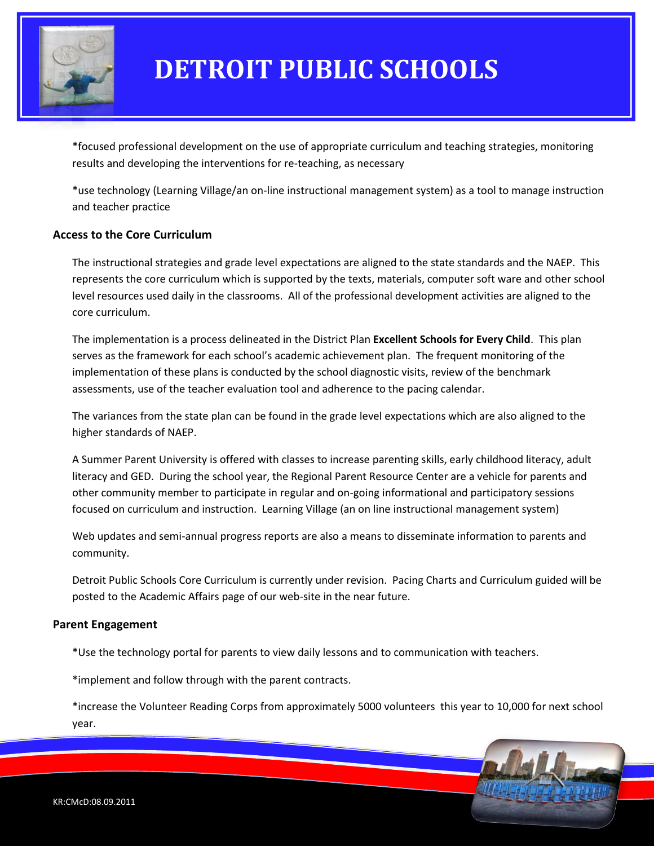

\*focused professional development on the use of appropriate curriculum and teaching strategies, monitoring results and developing the interventions for re-teaching, as necessary

\*use technology (Learning Village/an on-line instructional management system) as a tool to manage instruction and teacher practice

#### **Access to the Core Curriculum**

The instructional strategies and grade level expectations are aligned to the state standards and the NAEP. This represents the core curriculum which is supported by the texts, materials, computer soft ware and other school level resources used daily in the classrooms. All of the professional development activities are aligned to the core curriculum.

The implementation is a process delineated in the District Plan **Excellent Schools for Every Child**. This plan serves as the framework for each school's academic achievement plan. The frequent monitoring of the implementation of these plans is conducted by the school diagnostic visits, review of the benchmark assessments, use of the teacher evaluation tool and adherence to the pacing calendar.

The variances from the state plan can be found in the grade level expectations which are also aligned to the higher standards of NAEP.

A Summer Parent University is offered with classes to increase parenting skills, early childhood literacy, adult literacy and GED. During the school year, the Regional Parent Resource Center are a vehicle for parents and other community member to participate in regular and on-going informational and participatory sessions focused on curriculum and instruction. Learning Village (an on line instructional management system)

Web updates and semi-annual progress reports are also a means to disseminate information to parents and community.

Detroit Public Schools Core Curriculum is currently under revision. Pacing Charts and Curriculum guided will be posted to the Academic Affairs page of our web-site in the near future.

#### **Parent Engagement**

\*Use the technology portal for parents to view daily lessons and to communication with teachers.

\*implement and follow through with the parent contracts.

\*increase the Volunteer Reading Corps from approximately 5000 volunteers this year to 10,000 for next school year.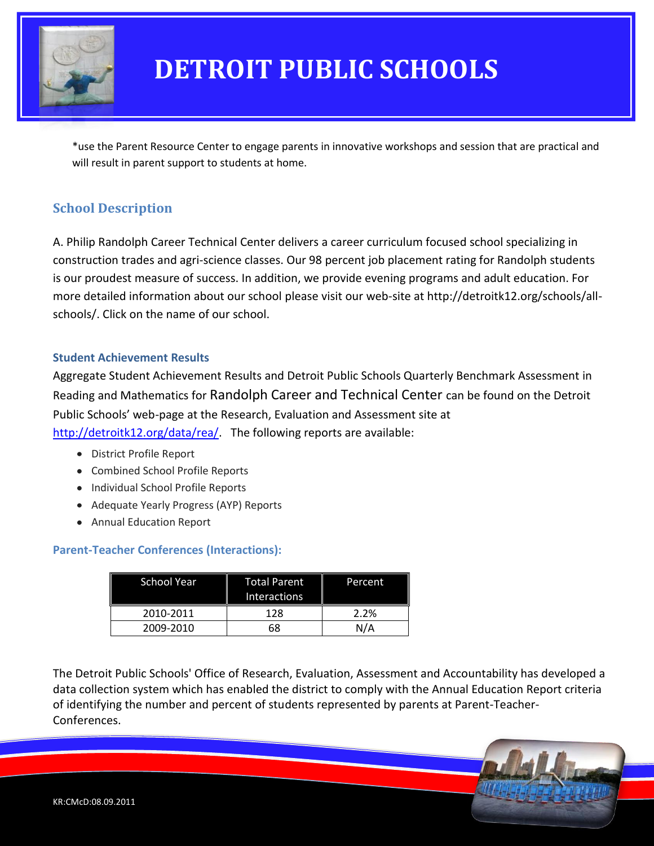

\*use the Parent Resource Center to engage parents in innovative workshops and session that are practical and will result in parent support to students at home.

### **School Description**

A. Philip Randolph Career Technical Center delivers a career curriculum focused school specializing in construction trades and agri-science classes. Our 98 percent job placement rating for Randolph students is our proudest measure of success. In addition, we provide evening programs and adult education. For more detailed information about our school please visit our web-site at http://detroitk12.org/schools/allschools/. Click on the name of our school.

#### **Student Achievement Results**

Aggregate Student Achievement Results and Detroit Public Schools Quarterly Benchmark Assessment in Reading and Mathematics for Randolph Career and Technical Center can be found on the Detroit Public Schools' web-page at the Research, Evaluation and Assessment site at [http://detroitk12.org/data/rea/.](http://detroitk12.org/data/rea/) The following reports are available:

- District Profile Report
- Combined School Profile Reports
- Individual School Profile Reports
- Adequate Yearly Progress (AYP) Reports
- Annual Education Report

### **Parent-Teacher Conferences (Interactions):**

| <b>School Year</b> | Total Parent<br><b>Interactions</b> | Percent |
|--------------------|-------------------------------------|---------|
| 2010-2011          | 128                                 | 2.2%    |
| 2009-2010          | 68                                  | N/A     |

The Detroit Public Schools' Office of Research, Evaluation, Assessment and Accountability has developed a data collection system which has enabled the district to comply with the Annual Education Report criteria of identifying the number and percent of students represented by parents at Parent-Teacher-Conferences.